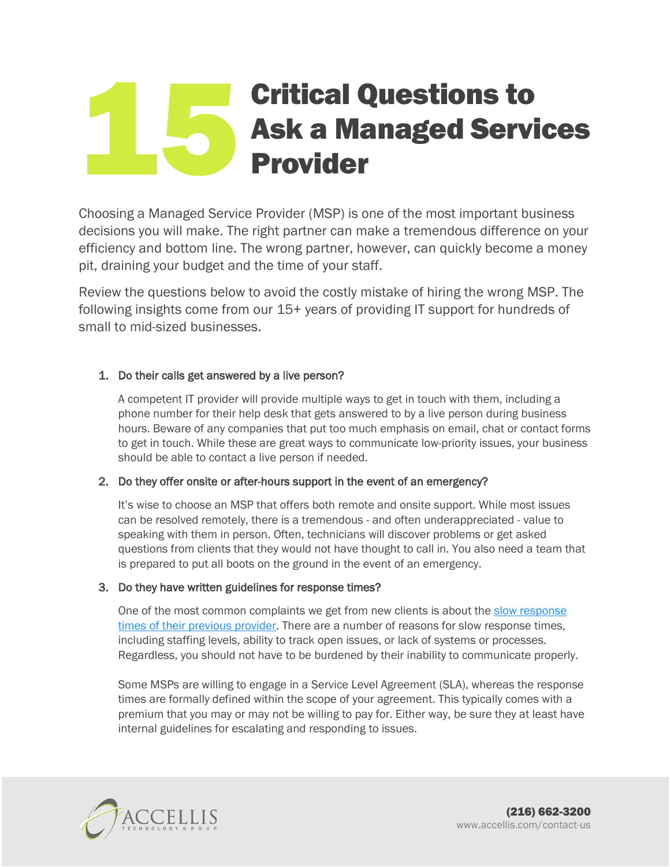# Critical Questions to Ask a Managed Services Provider 15

Choosing a Managed Service Provider (MSP) is one of the most important business decisions you will make. The right partner can make a tremendous difference on your efficiency and bottom line. The wrong partner, however, can quickly become a money pit, draining your budget and the time of your staff.

Review the questions below to avoid the costly mistake of hiring the wrong MSP. The following insights come from our 15+ years of providing IT support for hundreds of small to mid-sized businesses.

# 1. Do their calls get answered by a live person?

A competent IT provider will provide multiple ways to get in touch with them, including a phone number for their help desk that gets answered to by a live person during business hours. Beware of any companies that put too much emphasis on email, chat or contact forms to get in touch. While these are great ways to communicate low-priority issues, your business should be able to contact a live person if needed.

## 2. Do they offer onsite or after-hours support in the event of an emergency?

It's wise to choose an MSP that offers both remote and onsite support. While most issues can be resolved remotely, there is a tremendous - and often underappreciated - value to speaking with them in person. Often, technicians will discover problems or get asked questions from clients that they would not have thought to call in. You also need a team that is prepared to put all boots on the ground in the event of an emergency.

## 3. Do they have written guidelines for response times?

One of the most common complaints we get from new clients is about the [slow response](http://accellis.com/10-signs-its-time-to-switch-your-managed-service-provider/)  [times of their previous provider.](http://accellis.com/10-signs-its-time-to-switch-your-managed-service-provider/) There are a number of reasons for slow response times, including staffing levels, ability to track open issues, or lack of systems or processes. Regardless, you should not have to be burdened by their inability to communicate properly.

Some MSPs are willing to engage in a Service Level Agreement (SLA), whereas the response times are formally defined within the scope of your agreement. This typically comes with a premium that you may or may not be willing to pay for. Either way, be sure they at least have internal guidelines for escalating and responding to issues.

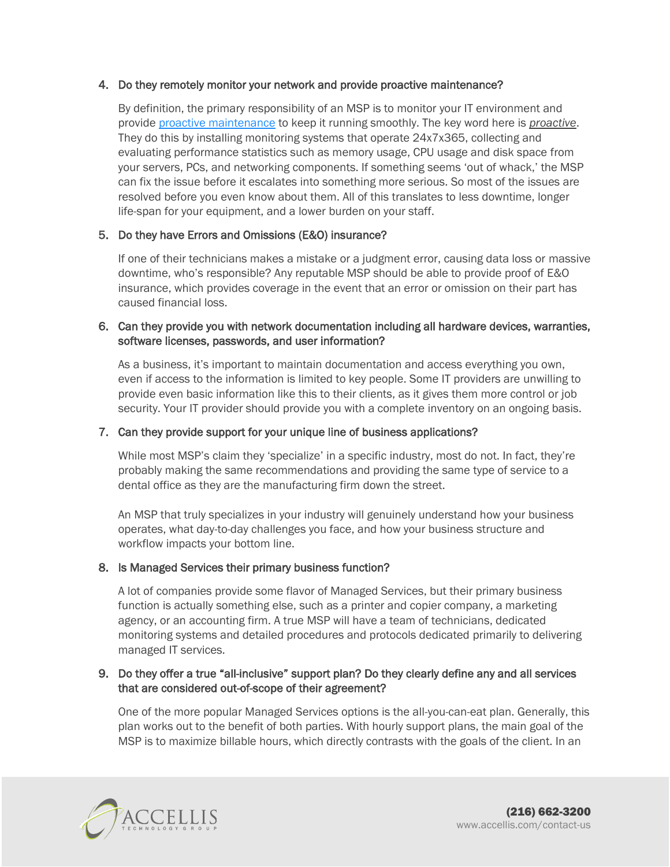## 4. Do they remotely monitor your network and provide proactive maintenance?

By definition, the primary responsibility of an MSP is to monitor your IT environment and provide proactive [maintenance](http://accellis.com/7-reasons-law-firms-should-outsource-their-it-operations/) to keep it running smoothly. The key word here is *proactive*. They do this by installing monitoring systems that operate 24x7x365, collecting and evaluating performance statistics such as memory usage, CPU usage and disk space from your servers, PCs, and networking components. If something seems 'out of whack,' the MSP can fix the issue before it escalates into something more serious. So most of the issues are resolved before you even know about them. All of this translates to less downtime, longer life-span for your equipment, and a lower burden on your staff.

## 5. Do they have Errors and Omissions (E&O) insurance?

If one of their technicians makes a mistake or a judgment error, causing data loss or massive downtime, who's responsible? Any reputable MSP should be able to provide proof of E&O insurance, which provides coverage in the event that an error or omission on their part has caused financial loss.

## 6. Can they provide you with network documentation including all hardware devices, warranties, software licenses, passwords, and user information?

As a business, it's important to maintain documentation and access everything you own, even if access to the information is limited to key people. Some IT providers are unwilling to provide even basic information like this to their clients, as it gives them more control or job security. Your IT provider should provide you with a complete inventory on an ongoing basis.

## 7. Can they provide support for your unique line of business applications?

While most MSP's claim they 'specialize' in a specific industry, most do not. In fact, they're probably making the same recommendations and providing the same type of service to a dental office as they are the manufacturing firm down the street.

An MSP that truly specializes in your industry will genuinely understand how your business operates, what day-to-day challenges you face, and how your business structure and workflow impacts your bottom line.

## 8. Is Managed Services their primary business function?

A lot of companies provide some flavor of Managed Services, but their primary business function is actually something else, such as a printer and copier company, a marketing agency, or an accounting firm. A true MSP will have a team of technicians, dedicated monitoring systems and detailed procedures and protocols dedicated primarily to delivering managed IT services.

#### 9. Do they offer a true "all-inclusive" support plan? Do they clearly define any and all services that are considered out-of-scope of their agreement?

One of the more popular Managed Services options is the all-you-can-eat plan. Generally, this plan works out to the benefit of both parties. With hourly support plans, the main goal of the MSP is to maximize billable hours, which directly contrasts with the goals of the client. In an

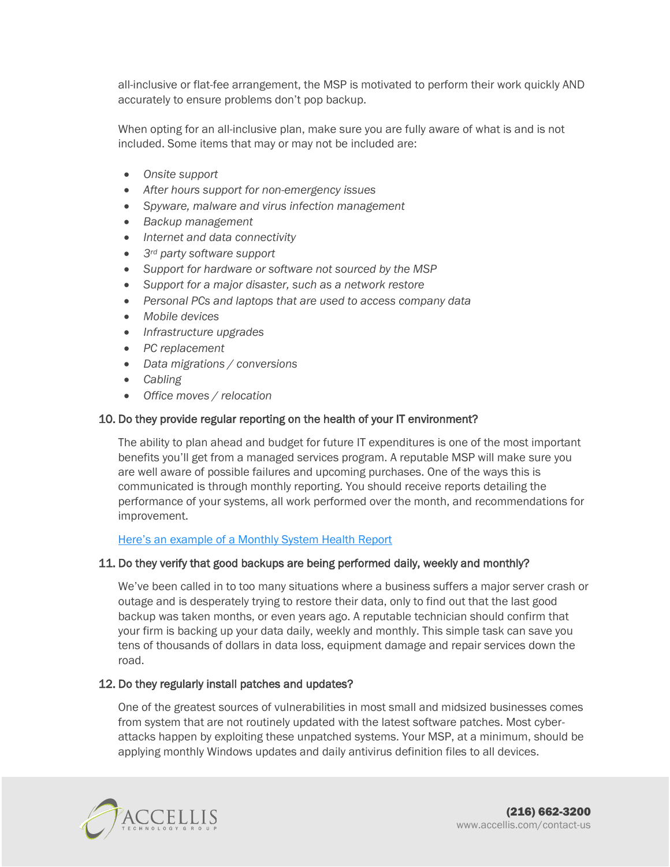all-inclusive or flat-fee arrangement, the MSP is motivated to perform their work quickly AND accurately to ensure problems don't pop backup.

When opting for an all-inclusive plan, make sure you are fully aware of what is and is not included. Some items that may or may not be included are:

- *Onsite support*
- *After hours support for non-emergency issues*
- *Spyware, malware and virus infection management*
- *Backup management*
- *Internet and data connectivity*
- *3rd party software support*
- *Support for hardware or software not sourced by the MSP*
- *Support for a major disaster, such as a network restore*
- *Personal PCs and laptops that are used to access company data*
- *Mobile devices*
- *Infrastructure upgrades*
- *PC replacement*
- *Data migrations / conversions*
- *Cabling*
- *Office moves / relocation*

## 10. Do they provide regular reporting on the health of your IT environment?

The ability to plan ahead and budget for future IT expenditures is one of the most important benefits you'll get from a managed services program. A reputable MSP will make sure you are well aware of possible failures and upcoming purchases. One of the ways this is communicated is through monthly reporting. You should receive reports detailing the performance of your systems, all work performed over the month, and recommendations for improvement.

[Here's an example of a Monthly System Health Report](http://accellis.com/wp-content/uploads/Accellis-Managed-IT-Services-Monthly-Health-Report.pdf)

## 11. Do they verify that good backups are being performed daily, weekly and monthly?

We've been called in to too many situations where a business suffers a major server crash or outage and is desperately trying to restore their data, only to find out that the last good backup was taken months, or even years ago. A reputable technician should confirm that your firm is backing up your data daily, weekly and monthly. This simple task can save you tens of thousands of dollars in data loss, equipment damage and repair services down the road.

## 12. Do they regularly install patches and updates?

One of the greatest sources of vulnerabilities in most small and midsized businesses comes from system that are not routinely updated with the latest software patches. Most cyberattacks happen by exploiting these unpatched systems. Your MSP, at a minimum, should be applying monthly Windows updates and daily antivirus definition files to all devices.